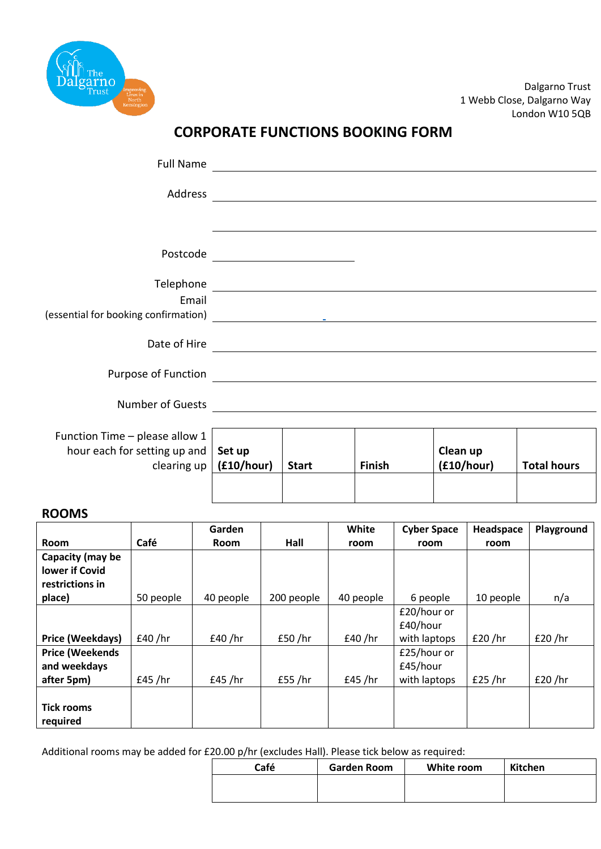

Dalgarno Trust 1 Webb Close, Dalgarno Way London W10 5QB

# **CORPORATE FUNCTIONS BOOKING FORM**

| Full Name                                                                                                                                                                                                                            |                                     |                                | <u>and the state of the state of the state of the state of the state of the state of the state of the state of th</u>                                                                                                                |            |                    |
|--------------------------------------------------------------------------------------------------------------------------------------------------------------------------------------------------------------------------------------|-------------------------------------|--------------------------------|--------------------------------------------------------------------------------------------------------------------------------------------------------------------------------------------------------------------------------------|------------|--------------------|
|                                                                                                                                                                                                                                      |                                     |                                |                                                                                                                                                                                                                                      |            |                    |
|                                                                                                                                                                                                                                      |                                     |                                |                                                                                                                                                                                                                                      |            |                    |
|                                                                                                                                                                                                                                      |                                     | Postcode _____________________ |                                                                                                                                                                                                                                      |            |                    |
|                                                                                                                                                                                                                                      |                                     |                                |                                                                                                                                                                                                                                      |            |                    |
| Email                                                                                                                                                                                                                                |                                     |                                |                                                                                                                                                                                                                                      |            |                    |
|                                                                                                                                                                                                                                      |                                     |                                |                                                                                                                                                                                                                                      |            |                    |
|                                                                                                                                                                                                                                      |                                     |                                | Date of Hire <b>contains a set of the contact of the contact of the contact of the contact of the contact of the contact of the contact of the contact of the contact of the contact of the contact of the contact of the contac</b> |            |                    |
|                                                                                                                                                                                                                                      |                                     |                                |                                                                                                                                                                                                                                      |            |                    |
| Number of Guests <b>Property Contract Contract Contract Contract Contract Contract Contract Contract Contract Contract Contract Contract Contract Contract Contract Contract Contract Contract Contract Contract Contract Contra</b> |                                     |                                |                                                                                                                                                                                                                                      |            |                    |
| Function Time - please allow 1                                                                                                                                                                                                       |                                     |                                |                                                                                                                                                                                                                                      |            |                    |
| hour each for setting up and                                                                                                                                                                                                         | Set up                              |                                |                                                                                                                                                                                                                                      | Clean up   |                    |
|                                                                                                                                                                                                                                      | clearing up $ $ ( <b>£10/hour</b> ) | <b>Start</b>                   | <b>Finish</b>                                                                                                                                                                                                                        | (f10/hour) | <b>Total hours</b> |

#### **ROOMS**

|                        |           | Garden      |            | White     | <b>Cyber Space</b> | Headspace | Playground |
|------------------------|-----------|-------------|------------|-----------|--------------------|-----------|------------|
| Room                   | Café      | <b>Room</b> | Hall       | room      | room               | room      |            |
| Capacity (may be       |           |             |            |           |                    |           |            |
| <b>lower if Covid</b>  |           |             |            |           |                    |           |            |
| restrictions in        |           |             |            |           |                    |           |            |
| place)                 | 50 people | 40 people   | 200 people | 40 people | 6 people           | 10 people | n/a        |
|                        |           |             |            |           | £20/hour or        |           |            |
|                        |           |             |            |           | £40/hour           |           |            |
| Price (Weekdays)       | £40 / hr  | £40/hr      | £50/hr     | £40/hr    | with laptops       | £20/hr    | £20 / hr   |
| <b>Price (Weekends</b> |           |             |            |           | £25/hour or        |           |            |
| and weekdays           |           |             |            |           | £45/hour           |           |            |
| after 5pm)             | £45 / hr  | £45 / hr    | £55 /hr    | £45 / hr  | with laptops       | £25 / hr  | £20 / hr   |
|                        |           |             |            |           |                    |           |            |
| <b>Tick rooms</b>      |           |             |            |           |                    |           |            |
| required               |           |             |            |           |                    |           |            |

Additional rooms may be added for £20.00 p/hr (excludes Hall). Please tick below as required:

| Café | Garden Room | White room | Kitchen |
|------|-------------|------------|---------|
|      |             |            |         |
|      |             |            |         |